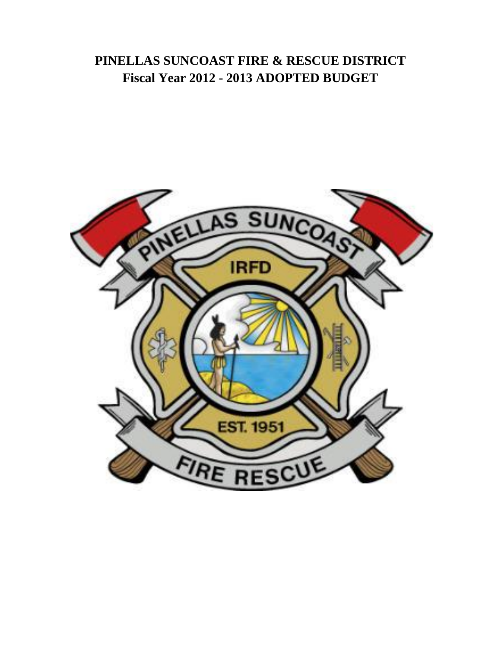# **PINELLAS SUNCOAST FIRE & RESCUE DISTRICT Fiscal Year 2012 - 2013 ADOPTED BUDGET**

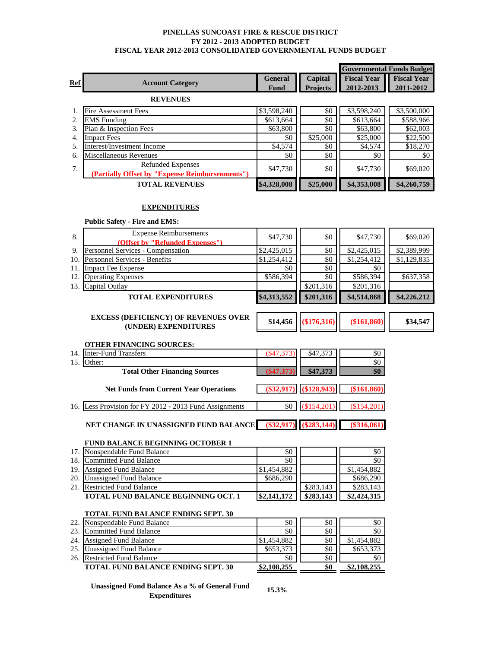#### **PINELLAS SUNCOAST FIRE & RESCUE DISTRICT FY 2012 - 2013 ADOPTED BUDGET FISCAL YEAR 2012-2013 CONSOLIDATED GOVERNMENTAL FUNDS BUDGET**

|            |                                                 |                |                 | <b>Governmental Funds Budget</b> |                    |
|------------|-------------------------------------------------|----------------|-----------------|----------------------------------|--------------------|
| <b>Ref</b> | <b>Account Category</b>                         | <b>General</b> | Capital         | <b>Fiscal Year</b>               | <b>Fiscal Year</b> |
|            |                                                 | Fund           | <b>Projects</b> | 2012-2013                        | 2011-2012          |
|            | <b>REVENUES</b>                                 |                |                 |                                  |                    |
|            | <b>Fire Assessment Fees</b>                     | \$3,598,240    | \$0             | \$3,598,240                      | \$3,500,000        |
| 2.         | <b>EMS</b> Funding                              | \$613,664      | \$0             | \$613,664                        | \$588,966          |
| 3.         | Plan & Inspection Fees                          | \$63,800       | \$0             | \$63,800                         | \$62,003           |
| 4.         | <b>Impact Fees</b>                              | \$0            | \$25,000        | \$25,000                         | \$22,500           |
| 5.         | Interest/Investment Income                      | \$4,574        | \$0             | \$4,574                          | \$18,270           |
| 6.         | Miscellaneous Revenues                          | \$0            | \$0             | \$0                              | \$0                |
| 7.         | <b>Refunded Expenses</b>                        | \$47,730       | \$0             | \$47,730                         | \$69,020           |
|            | (Partially Offset by "Expense Reimbursenments") |                |                 |                                  |                    |
|            | <b>TOTAL REVENUES</b>                           | \$4,328,008    | \$25,000        | \$4,353,008                      | \$4,260,759        |

## **EXPENDITURES**

|       | <b>Public Safety - Fire and EMS:</b>                                |             |           |             |             |
|-------|---------------------------------------------------------------------|-------------|-----------|-------------|-------------|
| 8.    | <b>Expense Reimbursements</b>                                       | \$47,730    | \$0       | \$47,730    | \$69,020    |
|       | (Offset by "Refunded Expenses")                                     |             |           |             |             |
| 9.    | Personnel Services - Compensation                                   | \$2,425,015 | \$0       | \$2,425,015 | \$2,389,999 |
| 10.1  | <b>Personnel Services - Benefits</b>                                | \$1,254,412 | \$0       | \$1,254,412 | \$1,129,835 |
| 11. I | <b>Impact Fee Expense</b>                                           | \$0         | \$0       | \$0         |             |
| 12.   | <b>Operating Expenses</b>                                           | \$586,394   | \$0       | \$586,394   | \$637,358   |
| 13.1  | Capital Outlay                                                      |             | \$201,316 | \$201,316   |             |
|       | <b>TOTAL EXPENDITURES</b>                                           | \$4,313,552 | \$201,316 | \$4,514,868 | \$4,226,212 |
|       | <b>EXCESS (DEFICIENCY) OF REVENUES OVER</b><br>(UNDER) EXPENDITURES | \$14,456    | \$176,316 | (\$161,860) | \$34,547    |
|       |                                                                     |             |           |             |             |

#### **OTHER FINANCING SOURCES:**

| 14. | <b>Inter-Fund Transfers</b>                            | $(\$47,373)$ | \$47,373                   | \$0           |
|-----|--------------------------------------------------------|--------------|----------------------------|---------------|
|     | Other:                                                 |              |                            | \$0           |
|     | <b>Total Other Financing Sources</b>                   | (S47.373)    | \$47,373                   | \$0           |
|     | <b>Net Funds from Current Year Operations</b>          |              | $(\$32,917)$ $(\$128,943)$ | (\$161,860)   |
|     | 16. Less Provision for FY 2012 - 2013 Fund Assignments |              | $\&0$ (\$154,201)          | (\$154,201)   |
|     | NET CHANGE IN UNASSIGNED FUND BALANCE                  |              | $(\$32,917)$ $(\$283,144)$ | $(\$316,061)$ |

#### **FUND BALANCE BEGINNING OCTOBER 1**

| 17  | Nonspendable Fund Balance                  | \$0         |           | \$0         |
|-----|--------------------------------------------|-------------|-----------|-------------|
| 18. | Committed Fund Balance                     | \$0         |           | \$0         |
| 19. | <b>Assigned Fund Balance</b>               | \$1,454,882 |           | \$1,454,882 |
| 20. | Unassigned Fund Balance                    | \$686,290   |           | \$686,290   |
| 21. | <b>Restricted Fund Balance</b>             |             | \$283,143 | \$283,143   |
|     | <b>TOTAL FUND BALANCE BEGINNING OCT. 1</b> | \$2,141,172 |           | \$2,424,315 |

# **TOTAL FUND BALANCE ENDING SEPT. 30**

| 22. | Nonspendable Fund Balance                 | \$0         | \$0 | \$0         |
|-----|-------------------------------------------|-------------|-----|-------------|
| 23  | Committed Fund Balance                    | \$0         | \$0 | \$0         |
| 24. | <b>Assigned Fund Balance</b>              | \$1,454,882 | \$0 | \$1,454,882 |
| 25  | Unassigned Fund Balance                   | \$653,373   | \$0 | \$653,373   |
|     | 26. Restricted Fund Balance               | \$0         | \$0 | \$0         |
|     | <b>TOTAL FUND BALANCE ENDING SEPT. 30</b> | \$2,108,255 | \$0 | \$2,108,255 |

## **Unassigned Fund Balance As a % of General Fund Expenditures**

**15.3%**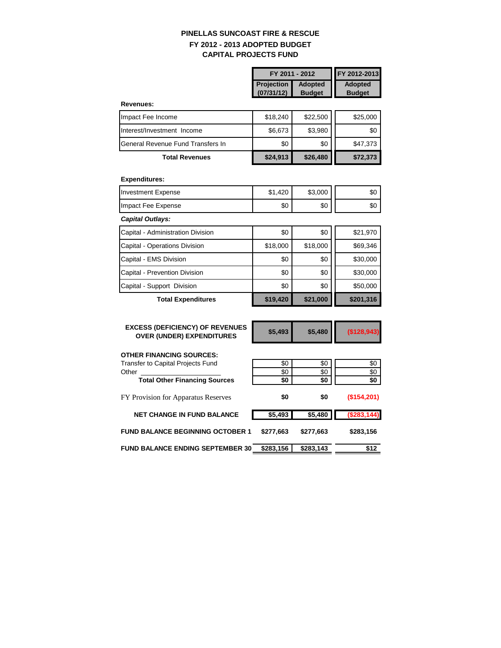# **PINELLAS SUNCOAST FIRE & RESCUE FY 2012 - 2013 ADOPTED BUDGET CAPITAL PROJECTS FUND**

|                                                                            | FY 2011 - 2012                  |                                 | FY 2012-2013                    |
|----------------------------------------------------------------------------|---------------------------------|---------------------------------|---------------------------------|
|                                                                            | <b>Projection</b><br>(07/31/12) | <b>Adopted</b><br><b>Budget</b> | <b>Adopted</b><br><b>Budget</b> |
| Revenues:                                                                  |                                 |                                 |                                 |
| Impact Fee Income                                                          | \$18,240                        | \$22,500                        | \$25,000                        |
| Interest/Investment Income                                                 | \$6,673                         | \$3,980                         | \$0                             |
| General Revenue Fund Transfers In                                          | \$0                             | \$0                             | \$47,373                        |
| <b>Total Revenues</b>                                                      | \$24,913                        | \$26,480                        | \$72,373                        |
| <b>Expenditures:</b>                                                       |                                 |                                 |                                 |
| <b>Investment Expense</b>                                                  | \$1,420                         | \$3,000                         | \$0                             |
| Impact Fee Expense                                                         | \$0                             | \$0                             | \$0                             |
| <b>Capital Outlays:</b>                                                    |                                 |                                 |                                 |
| Capital - Administration Division                                          | \$0                             | \$0                             | \$21,970                        |
| Capital - Operations Division                                              | \$18,000                        | \$18,000                        | \$69,346                        |
| Capital - EMS Division                                                     | \$0                             | \$0                             | \$30,000                        |
| Capital - Prevention Division                                              | \$0                             | \$0                             | \$30,000                        |
| Capital - Support Division                                                 | \$0                             | \$0                             | \$50,000                        |
| <b>Total Expenditures</b>                                                  | \$19,420                        | \$21,000                        | \$201,316                       |
| <b>EXCESS (DEFICIENCY) OF REVENUES</b><br><b>OVER (UNDER) EXPENDITURES</b> | \$5,493                         | \$5,480                         | (\$128,943)                     |
| OTHER FINANCING SOURCES:                                                   |                                 |                                 |                                 |
| <b>Transfer to Capital Projects Fund</b>                                   | \$0                             | \$0                             | \$0                             |
| Other<br><b>Total Other Financing Sources</b>                              | \$0<br>\$0                      | \$0<br>\$0                      | \$0<br>\$0                      |
| FY Provision for Apparatus Reserves                                        | \$0                             | \$0                             | (\$154,201)                     |
| <b>NET CHANGE IN FUND BALANCE</b>                                          | \$5,493                         | \$5,480                         | (\$283, 144)                    |
|                                                                            |                                 | \$277,663                       |                                 |
| <b>FUND BALANCE BEGINNING OCTOBER 1</b>                                    | \$277,663                       |                                 | \$283,156                       |